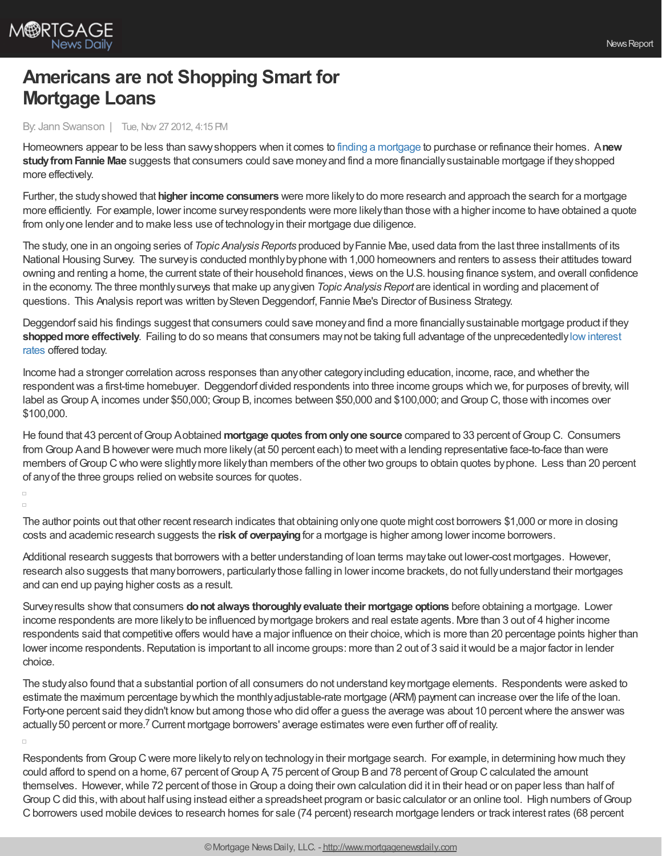

# **Americans are not Shopping Smart for Mortgage Loans**

### By: Jann Swanson | Tue, Nov 27 2012, 4:15 PM

Homeowners appear to be less than savvyshoppers when it comes to finding a [mortgage](http://www.mortgagenewsdaily.com/mortgage_rates/) to purchase or refinance their homes. A**new studyfromFannie Mae** suggests that consumers could save moneyand find a more financiallysustainable mortgage if theyshopped more effectively.

Further, the studyshowed that **higher income consumers** were more likelyto do more research and approach the search for a mortgage more efficiently. For example, lower income surveyrespondents were more likelythan those with a higher income to have obtained a quote from onlyone lender and to make less use of technologyin their mortgage due diligence.

The study, one in an ongoing series of *Topic Analysis Reports* produced by Fannie Mae, used data from the last three installments of its National Housing Survey. The surveyis conducted monthlybyphone with 1,000 homeowners and renters to assess their attitudes toward owning and renting a home, the current state of their household finances, views on the U.S. housing finance system, and overall confidence in the economy. The three monthly surveys that make up any given *Topic Analysis Report* are identical in wording and placement of questions. This Analysis reportwas written bySteven Deggendorf, Fannie Mae's Director of Business Strategy.

Deggendorf said his findings suggest that consumers could save moneyand find a more financiallysustainable mortgage product if they **shoppedmore effectively**. Failing to do so means that consumers maynot be taking full advantage of the [unprecedentedlylowinterest](http://www.mortgagenewsdaily.com/mortgage_rates/) rates offered today.

Income had a stronger correlation across responses than anyother categoryincluding education, income, race, and whether the respondent was a first-time homebuyer. Deggendorf divided respondents into three income groups which we, for purposes of brevity, will label as Group A, incomes under \$50,000; Group B, incomes between \$50,000 and \$100,000; and Group C, those with incomes over \$100,000.

He found that 43 percent ofGroup Aobtained **mortgage quotes fromonlyone source** compared to 33 percent ofGroup C. Consumers from Group Aand Bhowever were much more likely(at 50 percent each) to meetwith a lending representative face-to-face than were members of Group C who were slightly more likely than members of the other two groups to obtain quotes by phone. Less than 20 percent of anyof the three groups relied on website sources for quotes.

#### $\Box$  $\Box$

The author points out that other recent research indicates that obtaining onlyone quote might cost borrowers \$1,000 or more in closing costs and academic research suggests the **risk of overpaying**for a mortgage is higher among lower income borrowers.

Additional research suggests that borrowers with a better understanding of loan terms maytake out lower-cost mortgages. However, research also suggests that manyborrowers, particularlythose falling in lower income brackets, do not fullyunderstand their mortgages and can end up paying higher costs as a result.

Surveyresults showthat consumers **donot always thoroughlyevaluate their mortgage options** before obtaining a mortgage. Lower income respondents are more likelyto be influenced bymortgage brokers and real estate agents. More than 3 out of 4 higher income respondents said that competitive offers would have a major influence on their choice, which is more than 20 percentage points higher than lower income respondents. Reputation is important to all income groups: more than 2 out of 3 said it would be a major factor in lender choice.

The studyalso found that a substantial portion of all consumers do not understand keymortgage elements. Respondents were asked to estimate the maximum percentage bywhich the monthlyadjustable-rate mortgage (ARM) payment can increase over the life of the loan. Forty-one percent said they didn't know but among those who did offer a guess the average was about 10 percent where the answer was actually 50 percent or more.<sup>7</sup> Current mortgage borrowers' average estimates were even further off of reality.

Respondents from Group Cwere more likelyto relyon technologyin their mortgage search. For example, in determining how much they could afford to spend on a home, 67 percent of Group A, 75 percent of Group B and 78 percent of Group C calculated the amount themselves. However, while 72 percent of those in Group a doing their own calculation did it in their head or on paper less than half of Group C did this, with about half using instead either a spreadsheet program or basic calculator or an online tool. High numbers of Group C borrowers used mobile devices to research homes for sale (74 percent) research mortgage lenders or track interest rates (68 percent